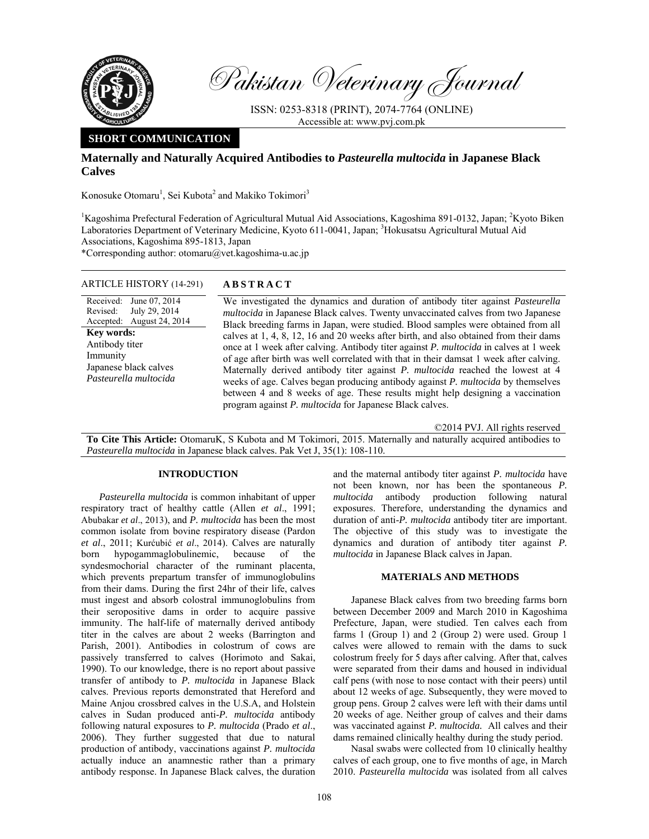

Pakistan Veterinary Journal

ISSN: 0253-8318 (PRINT), 2074-7764 (ONLINE) Accessible at: www.pvj.com.pk

# **SHORT COMMUNICATION**

# **Maternally and Naturally Acquired Antibodies to** *Pasteurella multocida* **in Japanese Black Calves**

Konosuke Otomaru<sup>1</sup>, Sei Kubota<sup>2</sup> and Makiko Tokimori<sup>3</sup>

<sup>1</sup>Kagoshima Prefectural Federation of Agricultural Mutual Aid Associations, Kagoshima 891-0132, Japan; <sup>2</sup>Kyoto Biken Laboratories Department of Veterinary Medicine, Kyoto 611-0041, Japan; <sup>3</sup>Hokusatsu Agricultural Mutual Aid Associations, Kagoshima 895-1813, Japan

\*Corresponding author: otomaru@vet.kagoshima-u.ac.jp

| ARTICLE HISTORY (14-291) | <b>ABSTRACT</b> |
|--------------------------|-----------------|
|--------------------------|-----------------|

Received: Revised: Accepted: June 07, 2014 July 29, 2014 August 24, 2014 **Key words:**  Antibody titer Immunity Japanese black calves *Pasteurella multocida*

 We investigated the dynamics and duration of antibody titer against *Pasteurella multocida* in Japanese Black calves. Twenty unvaccinated calves from two Japanese Black breeding farms in Japan, were studied. Blood samples were obtained from all calves at 1, 4, 8, 12, 16 and 20 weeks after birth, and also obtained from their dams once at 1 week after calving. Antibody titer against *P. multocida* in calves at 1 week of age after birth was well correlated with that in their damsat 1 week after calving. Maternally derived antibody titer against *P. multocida* reached the lowest at 4 weeks of age. Calves began producing antibody against *P. multocida* by themselves between 4 and 8 weeks of age. These results might help designing a vaccination program against *P. multocida* for Japanese Black calves.

©2014 PVJ. All rights reserved

**To Cite This Article:** OtomaruK, S Kubota and M Tokimori, 2015. Maternally and naturally acquired antibodies to *Pasteurella multocida* in Japanese black calves. Pak Vet J, 35(1): 108-110.

## **INTRODUCTION**

*Pasteurella multocida* is common inhabitant of upper respiratory tract of healthy cattle (Allen *et al*., 1991; Abubakar *et al*., 2013), and *P. multocida* has been the most common isolate from bovine respiratory disease (Pardon *et al*., 2011; Kurćubić *et al*., 2014). Calves are naturally born hypogammaglobulinemic, because of the syndesmochorial character of the ruminant placenta, which prevents prepartum transfer of immunoglobulins from their dams. During the first 24hr of their life, calves must ingest and absorb colostral immunoglobulins from their seropositive dams in order to acquire passive immunity. The half-life of maternally derived antibody titer in the calves are about 2 weeks (Barrington and Parish, 2001). Antibodies in colostrum of cows are passively transferred to calves (Horimoto and Sakai, 1990). To our knowledge, there is no report about passive transfer of antibody to *P. multocida* in Japanese Black calves. Previous reports demonstrated that Hereford and Maine Anjou crossbred calves in the U.S.A, and Holstein calves in Sudan produced anti-*P. multocida* antibody following natural exposures to *P. multocida* (Prado *et al*., 2006). They further suggested that due to natural production of antibody, vaccinations against *P. multocida* actually induce an anamnestic rather than a primary antibody response. In Japanese Black calves, the duration

and the maternal antibody titer against *P. multocida* have not been known, nor has been the spontaneous *P. multocida* antibody production following natural exposures. Therefore, understanding the dynamics and duration of anti-*P. multocida* antibody titer are important. The objective of this study was to investigate the dynamics and duration of antibody titer against *P. multocida* in Japanese Black calves in Japan.

## **MATERIALS AND METHODS**

Japanese Black calves from two breeding farms born between December 2009 and March 2010 in Kagoshima Prefecture, Japan, were studied. Ten calves each from farms 1 (Group 1) and 2 (Group 2) were used. Group 1 calves were allowed to remain with the dams to suck colostrum freely for 5 days after calving. After that, calves were separated from their dams and housed in individual calf pens (with nose to nose contact with their peers) until about 12 weeks of age. Subsequently, they were moved to group pens. Group 2 calves were left with their dams until 20 weeks of age. Neither group of calves and their dams was vaccinated against *P. multocida.* All calves and their dams remained clinically healthy during the study period.

Nasal swabs were collected from 10 clinically healthy calves of each group, one to five months of age, in March 2010. *Pasteurella multocida* was isolated from all calves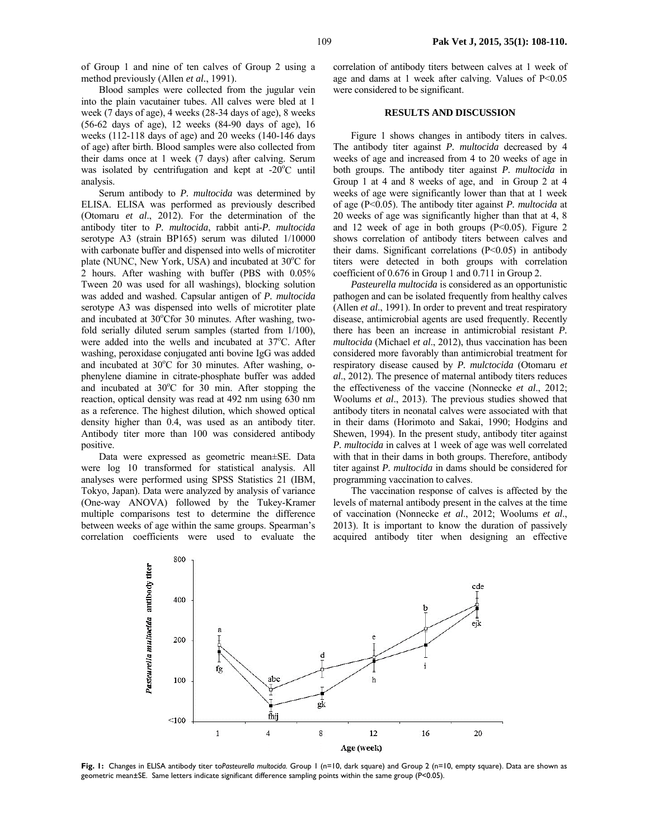of Group 1 and nine of ten calves of Group 2 using a method previously (Allen *et al.*, 1991).

Blood samples were collected from the jugular vein into the plain vacutainer tubes. All calves were bled at 1 week (7 days of age), 4 weeks (28-34 days of age), 8 weeks (56-62 days of age), 12 weeks (84-90 days of age), 16 weeks (112-118 days of age) and 20 weeks (140-146 days of age) after birth. Blood samples were also collected from their dams once at 1 week (7 days) after calving. Serum was isolated by centrifugation and kept at  $-20^{\circ}$ C until analysis.

Serum antibody to *P. multocida* was determined by ELISA. ELISA was performed as previously described (Otomaru *et al*., 2012). For the determination of the antibody titer to *P. multocida*, rabbit anti-*P. multocida* serotype A3 (strain BP165) serum was diluted 1/10000 with carbonate buffer and dispensed into wells of microtiter plate (NUNC, New York, USA) and incubated at 30°C for 2 hours. After washing with buffer (PBS with 0.05% Tween 20 was used for all washings), blocking solution was added and washed. Capsular antigen of *P. multocida* serotype A3 was dispensed into wells of microtiter plate and incubated at 30°Cfor 30 minutes. After washing, twofold serially diluted serum samples (started from 1/100), were added into the wells and incubated at 37°C. After washing, peroxidase conjugated anti bovine IgG was added and incubated at 30°C for 30 minutes. After washing, ophenylene diamine in citrate-phosphate buffer was added and incubated at  $30^{\circ}$ C for  $30$  min. After stopping the reaction, optical density was read at 492 nm using 630 nm as a reference. The highest dilution, which showed optical density higher than 0.4, was used as an antibody titer. Antibody titer more than 100 was considered antibody positive.

Data were expressed as geometric mean±SE. Data were log 10 transformed for statistical analysis. All analyses were performed using SPSS Statistics 21 (IBM, Tokyo, Japan). Data were analyzed by analysis of variance (One-way ANOVA) followed by the Tukey-Kramer multiple comparisons test to determine the difference between weeks of age within the same groups. Spearman's correlation coefficients were used to evaluate the

correlation of antibody titers between calves at 1 week of age and dams at 1 week after calving. Values of  $P<0.05$ were considered to be significant.

### **RESULTS AND DISCUSSION**

Figure 1 shows changes in antibody titers in calves. The antibody titer against *P. multocida* decreased by 4 weeks of age and increased from 4 to 20 weeks of age in both groups. The antibody titer against *P. multocida* in Group 1 at 4 and 8 weeks of age, and in Group 2 at 4 weeks of age were significantly lower than that at 1 week of age (P<0.05). The antibody titer against *P. multocida* at 20 weeks of age was significantly higher than that at 4, 8 and 12 week of age in both groups  $(P<0.05)$ . Figure 2 shows correlation of antibody titers between calves and their dams. Significant correlations (P<0.05) in antibody titers were detected in both groups with correlation coefficient of 0.676 in Group 1 and 0.711 in Group 2.

*Pasteurella multocida* is considered as an opportunistic pathogen and can be isolated frequently from healthy calves (Allen *et al*., 1991). In order to prevent and treat respiratory disease, antimicrobial agents are used frequently. Recently there has been an increase in antimicrobial resistant *P. multocida* (Michael *et al*., 2012), thus vaccination has been considered more favorably than antimicrobial treatment for respiratory disease caused by *P. mulctocida* (Otomaru *et al*., 2012). The presence of maternal antibody titers reduces the effectiveness of the vaccine (Nonnecke *et al*., 2012; Woolums *et al*., 2013). The previous studies showed that antibody titers in neonatal calves were associated with that in their dams (Horimoto and Sakai, 1990; Hodgins and Shewen, 1994). In the present study, antibody titer against *P. multocida* in calves at 1 week of age was well correlated with that in their dams in both groups. Therefore, antibody titer against *P. multocida* in dams should be considered for programming vaccination to calves.

The vaccination response of calves is affected by the levels of maternal antibody present in the calves at the time of vaccination (Nonnecke *et al*., 2012; Woolums *et al*., 2013). It is important to know the duration of passively acquired antibody titer when designing an effective



**Fig. 1:** Changes in ELISA antibody titer to*Pasteurella multocida.* Group 1 (n=10, dark square) and Group 2 (n=10, empty square). Data are shown as geometric mean±SE. Same letters indicate significant difference sampling points within the same group (P<0.05).